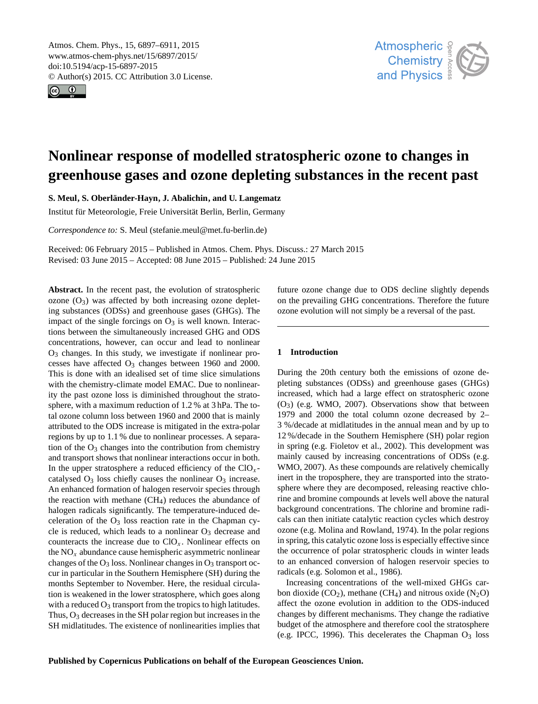<span id="page-0-0"></span>Atmos. Chem. Phys., 15, 6897–6911, 2015 www.atmos-chem-phys.net/15/6897/2015/ doi:10.5194/acp-15-6897-2015 © Author(s) 2015. CC Attribution 3.0 License.





# **Nonlinear response of modelled stratospheric ozone to changes in greenhouse gases and ozone depleting substances in the recent past**

**S. Meul, S. Oberländer-Hayn, J. Abalichin, and U. Langematz**

Institut für Meteorologie, Freie Universität Berlin, Berlin, Germany

*Correspondence to:* S. Meul (stefanie.meul@met.fu-berlin.de)

Received: 06 February 2015 – Published in Atmos. Chem. Phys. Discuss.: 27 March 2015 Revised: 03 June 2015 – Accepted: 08 June 2015 – Published: 24 June 2015

**Abstract.** In the recent past, the evolution of stratospheric ozone  $(O_3)$  was affected by both increasing ozone depleting substances (ODSs) and greenhouse gases (GHGs). The impact of the single forcings on  $O_3$  is well known. Interactions between the simultaneously increased GHG and ODS concentrations, however, can occur and lead to nonlinear  $O<sub>3</sub>$  changes. In this study, we investigate if nonlinear processes have affected  $O_3$  changes between 1960 and 2000. This is done with an idealised set of time slice simulations with the chemistry-climate model EMAC. Due to nonlinearity the past ozone loss is diminished throughout the stratosphere, with a maximum reduction of 1.2 % at 3 hPa. The total ozone column loss between 1960 and 2000 that is mainly attributed to the ODS increase is mitigated in the extra-polar regions by up to 1.1 % due to nonlinear processes. A separation of the  $O_3$  changes into the contribution from chemistry and transport shows that nonlinear interactions occur in both. In the upper stratosphere a reduced efficiency of the  $ClO_x$ catalysed  $O_3$  loss chiefly causes the nonlinear  $O_3$  increase. An enhanced formation of halogen reservoir species through the reaction with methane  $(CH<sub>4</sub>)$  reduces the abundance of halogen radicals significantly. The temperature-induced deceleration of the  $O_3$  loss reaction rate in the Chapman cycle is reduced, which leads to a nonlinear  $O_3$  decrease and counteracts the increase due to  $ClO_x$ . Nonlinear effects on the  $NO<sub>x</sub>$  abundance cause hemispheric asymmetric nonlinear changes of the  $O_3$  loss. Nonlinear changes in  $O_3$  transport occur in particular in the Southern Hemisphere (SH) during the months September to November. Here, the residual circulation is weakened in the lower stratosphere, which goes along with a reduced  $O_3$  transport from the tropics to high latitudes. Thus,  $O_3$  decreases in the SH polar region but increases in the SH midlatitudes. The existence of nonlinearities implies that

future ozone change due to ODS decline slightly depends on the prevailing GHG concentrations. Therefore the future ozone evolution will not simply be a reversal of the past.

## **1 Introduction**

During the 20th century both the emissions of ozone depleting substances (ODSs) and greenhouse gases (GHGs) increased, which had a large effect on stratospheric ozone  $(O_3)$  (e.g. [WMO,](#page-14-0) [2007\)](#page-14-0). Observations show that between 1979 and 2000 the total column ozone decreased by 2– 3 %/decade at midlatitudes in the annual mean and by up to 12 %/decade in the Southern Hemisphere (SH) polar region in spring (e.g. [Fioletov et al.,](#page-13-0) [2002\)](#page-13-0). This development was mainly caused by increasing concentrations of ODSs (e.g. [WMO,](#page-14-0) [2007\)](#page-14-0). As these compounds are relatively chemically inert in the troposphere, they are transported into the stratosphere where they are decomposed, releasing reactive chlorine and bromine compounds at levels well above the natural background concentrations. The chlorine and bromine radicals can then initiate catalytic reaction cycles which destroy ozone (e.g. [Molina and Rowland,](#page-13-1) [1974\)](#page-13-1). In the polar regions in spring, this catalytic ozone loss is especially effective since the occurrence of polar stratospheric clouds in winter leads to an enhanced conversion of halogen reservoir species to radicals (e.g. [Solomon et al.,](#page-14-1) [1986\)](#page-14-1).

Increasing concentrations of the well-mixed GHGs carbon dioxide  $(CO_2)$ , methane  $(CH_4)$  and nitrous oxide  $(N_2O)$ affect the ozone evolution in addition to the ODS-induced changes by different mechanisms. They change the radiative budget of the atmosphere and therefore cool the stratosphere (e.g. [IPCC,](#page-13-2) [1996\)](#page-13-2). This decelerates the Chapman  $O_3$  loss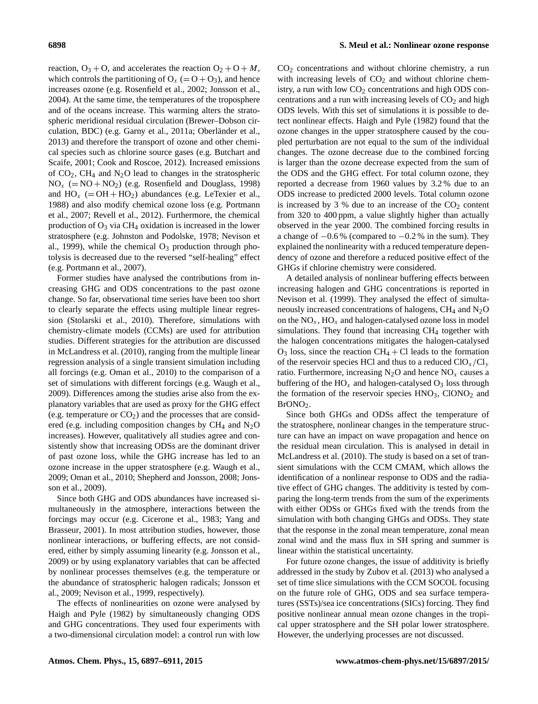reaction,  $O_3 + O$ , and accelerates the reaction  $O_2 + O + M$ , which controls the partitioning of  $O_x (= O + O_3)$ , and hence increases ozone (e.g. [Rosenfield et al.,](#page-14-2) [2002;](#page-14-2) [Jonsson et al.,](#page-13-3) [2004\)](#page-13-3). At the same time, the temperatures of the troposphere and of the oceans increase. This warming alters the stratospheric meridional residual circulation (Brewer–Dobson circulation, BDC) (e.g. [Garny et al.,](#page-13-4) [2011a;](#page-13-4) [Oberländer et al.,](#page-13-5) [2013\)](#page-13-5) and therefore the transport of ozone and other chemical species such as chlorine source gases (e.g. [Butchart and](#page-12-0) [Scaife,](#page-12-0) [2001;](#page-12-0) [Cook and Roscoe,](#page-12-1) [2012\)](#page-12-1). Increased emissions of  $CO<sub>2</sub>$ , CH<sub>4</sub> and N<sub>2</sub>O lead to changes in the stratospheric  $NO<sub>x</sub> (= NO + NO<sub>2</sub>)$  (e.g. [Rosenfield and Douglass,](#page-14-3) [1998\)](#page-14-3) and  $HO_x$  (= OH + HO<sub>2</sub>) abundances (e.g. [LeTexier et al.,](#page-13-6) [1988\)](#page-13-6) and also modify chemical ozone loss (e.g. [Portmann](#page-13-7) [et al.,](#page-13-7) [2007;](#page-13-7) [Revell et al.,](#page-13-8) [2012\)](#page-13-8). Furthermore, the chemical production of  $O_3$  via CH<sub>4</sub> oxidation is increased in the lower stratosphere (e.g. [Johnston and Podolske,](#page-13-9) [1978;](#page-13-9) [Nevison et](#page-13-10) [al.,](#page-13-10) [1999\)](#page-13-10), while the chemical  $O_3$  production through photolysis is decreased due to the reversed "self-healing" effect (e.g. [Portmann et al.,](#page-13-7) [2007\)](#page-13-7).

Former studies have analysed the contributions from increasing GHG and ODS concentrations to the past ozone change. So far, observational time series have been too short to clearly separate the effects using multiple linear regression [\(Stolarski et al.,](#page-14-4) [2010\)](#page-14-4). Therefore, simulations with chemistry-climate models (CCMs) are used for attribution studies. Different strategies for the attribution are discussed in [McLandress et al.](#page-13-11) [\(2010\)](#page-13-11), ranging from the multiple linear regression analysis of a single transient simulation including all forcings (e.g. [Oman et al.,](#page-13-12) [2010\)](#page-13-12) to the comparison of a set of simulations with different forcings (e.g. [Waugh et al.,](#page-14-5) [2009\)](#page-14-5). Differences among the studies arise also from the explanatory variables that are used as proxy for the GHG effect (e.g. temperature or  $CO<sub>2</sub>$ ) and the processes that are considered (e.g. including composition changes by  $CH_4$  and  $N_2O$ increases). However, qualitatively all studies agree and consistently show that increasing ODSs are the dominant driver of past ozone loss, while the GHG increase has led to an ozone increase in the upper stratosphere (e.g. [Waugh et al.,](#page-14-5) [2009;](#page-14-5) [Oman et al.,](#page-13-12) [2010;](#page-13-12) [Shepherd and Jonsson,](#page-14-6) [2008;](#page-14-6) [Jons](#page-13-13)[son et al.,](#page-13-13) [2009\)](#page-13-13).

Since both GHG and ODS abundances have increased simultaneously in the atmosphere, interactions between the forcings may occur (e.g. [Cicerone et al.,](#page-12-2) [1983;](#page-12-2) [Yang and](#page-14-7) [Brasseur,](#page-14-7) [2001\)](#page-14-7). In most attribution studies, however, those nonlinear interactions, or buffering effects, are not considered, either by simply assuming linearity (e.g. [Jonsson et al.,](#page-13-13) [2009\)](#page-13-13) or by using explanatory variables that can be affected by nonlinear processes themselves (e.g. the temperature or the abundance of stratospheric halogen radicals; [Jonsson et](#page-13-13) [al.,](#page-13-13) [2009;](#page-13-13) [Nevison et al.,](#page-13-10) [1999,](#page-13-10) respectively).

The effects of nonlinearities on ozone were analysed by [Haigh and Pyle](#page-13-14) [\(1982\)](#page-13-14) by simultaneously changing ODS and GHG concentrations. They used four experiments with a two-dimensional circulation model: a control run with low  $CO<sub>2</sub>$  concentrations and without chlorine chemistry, a run with increasing levels of  $CO<sub>2</sub>$  and without chlorine chemistry, a run with low  $CO<sub>2</sub>$  concentrations and high ODS concentrations and a run with increasing levels of  $CO<sub>2</sub>$  and high ODS levels. With this set of simulations it is possible to detect nonlinear effects. [Haigh and Pyle](#page-13-14) [\(1982\)](#page-13-14) found that the ozone changes in the upper stratosphere caused by the coupled perturbation are not equal to the sum of the individual changes. The ozone decrease due to the combined forcing is larger than the ozone decrease expected from the sum of the ODS and the GHG effect. For total column ozone, they reported a decrease from 1960 values by 3.2 % due to an ODS increase to predicted 2000 levels. Total column ozone is increased by 3 % due to an increase of the  $CO<sub>2</sub>$  content from 320 to 400 ppm, a value slightly higher than actually observed in the year 2000. The combined forcing results in a change of  $-0.6\%$  (compared to  $-0.2\%$  in the sum). They explained the nonlinearity with a reduced temperature dependency of ozone and therefore a reduced positive effect of the GHGs if chlorine chemistry were considered.

A detailed analysis of nonlinear buffering effects between increasing halogen and GHG concentrations is reported in [Nevison et al.](#page-13-10) [\(1999\)](#page-13-10). They analysed the effect of simultaneously increased concentrations of halogens,  $CH_4$  and  $N_2O$ on the  $NO_x$ ,  $HO_x$  and halogen-catalysed ozone loss in model simulations. They found that increasing CH<sub>4</sub> together with the halogen concentrations mitigates the halogen-catalysed  $O_3$  loss, since the reaction CH<sub>4</sub> + Cl leads to the formation of the reservoir species HCl and thus to a reduced  $ClO_x/Cl_y$ ratio. Furthermore, increasing  $N_2O$  and hence  $NO_x$  causes a buffering of the  $HO_x$  and halogen-catalysed  $O_3$  loss through the formation of the reservoir species  $HNO<sub>3</sub>$ , ClONO<sub>2</sub> and  $BroNO<sub>2</sub>$ .

Since both GHGs and ODSs affect the temperature of the stratosphere, nonlinear changes in the temperature structure can have an impact on wave propagation and hence on the residual mean circulation. This is analysed in detail in [McLandress et al.](#page-13-11) [\(2010\)](#page-13-11). The study is based on a set of transient simulations with the CCM CMAM, which allows the identification of a nonlinear response to ODS and the radiative effect of GHG changes. The additivity is tested by comparing the long-term trends from the sum of the experiments with either ODSs or GHGs fixed with the trends from the simulation with both changing GHGs and ODSs. They state that the response in the zonal mean temperature, zonal mean zonal wind and the mass flux in SH spring and summer is linear within the statistical uncertainty.

For future ozone changes, the issue of additivity is briefly addressed in the study by [Zubov et al.](#page-14-8) [\(2013\)](#page-14-8) who analysed a set of time slice simulations with the CCM SOCOL focusing on the future role of GHG, ODS and sea surface temperatures (SSTs)/sea ice concentrations (SICs) forcing. They find positive nonlinear annual mean ozone changes in the tropical upper stratosphere and the SH polar lower stratosphere. However, the underlying processes are not discussed.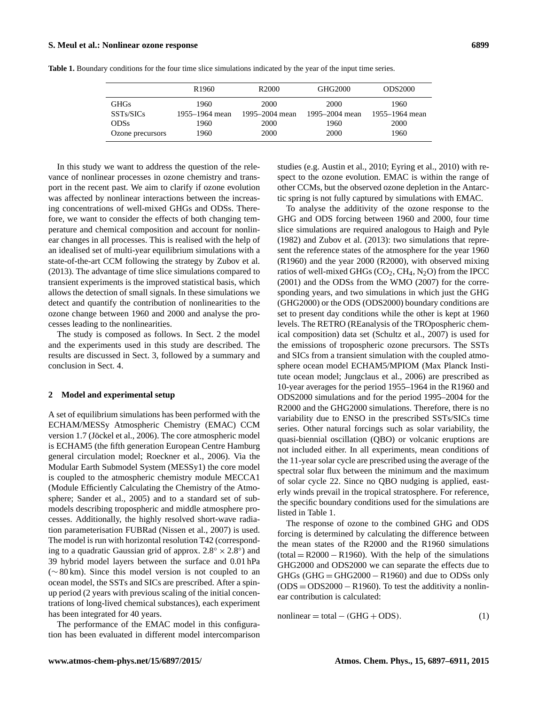|                  | R <sub>1960</sub> | R <sub>2000</sub> | GHG2000        | <b>ODS2000</b> |
|------------------|-------------------|-------------------|----------------|----------------|
| <b>GHGs</b>      | 1960              | 2000              | 2000           | 1960           |
| SSTs/SICs        | 1955–1964 mean    | 1995–2004 mean    | 1995–2004 mean | 1955–1964 mean |
| <b>ODSs</b>      | 1960              | 2000              | 1960           | 2000           |
| Ozone precursors | 1960              | 2000              | 2000           | 1960           |

<span id="page-2-1"></span>**Table 1.** Boundary conditions for the four time slice simulations indicated by the year of the input time series.

In this study we want to address the question of the relevance of nonlinear processes in ozone chemistry and transport in the recent past. We aim to clarify if ozone evolution was affected by nonlinear interactions between the increasing concentrations of well-mixed GHGs and ODSs. Therefore, we want to consider the effects of both changing temperature and chemical composition and account for nonlinear changes in all processes. This is realised with the help of an idealised set of multi-year equilibrium simulations with a state-of-the-art CCM following the strategy by [Zubov et al.](#page-14-8) [\(2013\)](#page-14-8). The advantage of time slice simulations compared to transient experiments is the improved statistical basis, which allows the detection of small signals. In these simulations we detect and quantify the contribution of nonlinearities to the ozone change between 1960 and 2000 and analyse the processes leading to the nonlinearities.

The study is composed as follows. In Sect. [2](#page-2-0) the model and the experiments used in this study are described. The results are discussed in Sect. [3,](#page-3-0) followed by a summary and conclusion in Sect. [4.](#page-11-0)

#### <span id="page-2-0"></span>**2 Model and experimental setup**

A set of equilibrium simulations has been performed with the ECHAM/MESSy Atmospheric Chemistry (EMAC) CCM version 1.7 [\(Jöckel et al.,](#page-13-15) [2006\)](#page-13-15). The core atmospheric model is ECHAM5 (the fifth generation European Centre Hamburg general circulation model; [Roeckner et al.,](#page-13-16) [2006\)](#page-13-16). Via the Modular Earth Submodel System (MESSy1) the core model is coupled to the atmospheric chemistry module MECCA1 (Module Efficiently Calculating the Chemistry of the Atmosphere; [Sander et al.,](#page-14-9) [2005\)](#page-14-9) and to a standard set of submodels describing tropospheric and middle atmosphere processes. Additionally, the highly resolved short-wave radiation parameterisation FUBRad [\(Nissen et al.,](#page-13-17) [2007\)](#page-13-17) is used. The model is run with horizontal resolution T42 (corresponding to a quadratic Gaussian grid of approx.  $2.8^{\circ} \times 2.8^{\circ}$ ) and 39 hybrid model layers between the surface and 0.01 hPa (∼ 80 km). Since this model version is not coupled to an ocean model, the SSTs and SICs are prescribed. After a spinup period (2 years with previous scaling of the initial concentrations of long-lived chemical substances), each experiment has been integrated for 40 years.

The performance of the EMAC model in this configuration has been evaluated in different model intercomparison studies (e.g. [Austin et al.,](#page-12-3) [2010;](#page-12-3) [Eyring et al.,](#page-13-18) [2010\)](#page-13-18) with respect to the ozone evolution. EMAC is within the range of other CCMs, but the observed ozone depletion in the Antarctic spring is not fully captured by simulations with EMAC.

To analyse the additivity of the ozone response to the GHG and ODS forcing between 1960 and 2000, four time slice simulations are required analogous to [Haigh and Pyle](#page-13-14) [\(1982\)](#page-13-14) and [Zubov et al.](#page-14-8) [\(2013\)](#page-14-8): two simulations that represent the reference states of the atmosphere for the year 1960 (R1960) and the year 2000 (R2000), with observed mixing ratios of well-mixed GHGs  $(CO_2, CH_4, N_2O)$  from the [IPCC](#page-13-19) [\(2001\)](#page-13-19) and the ODSs from the [WMO](#page-14-0) [\(2007\)](#page-14-0) for the corresponding years, and two simulations in which just the GHG (GHG2000) or the ODS (ODS2000) boundary conditions are set to present day conditions while the other is kept at 1960 levels. The RETRO (REanalysis of the TROpospheric chemical composition) data set [\(Schultz et al.,](#page-14-10) [2007\)](#page-14-10) is used for the emissions of tropospheric ozone precursors. The SSTs and SICs from a transient simulation with the coupled atmosphere ocean model ECHAM5/MPIOM (Max Planck Institute ocean model; [Jungclaus et al.,](#page-13-20) [2006\)](#page-13-20) are prescribed as 10-year averages for the period 1955–1964 in the R1960 and ODS2000 simulations and for the period 1995–2004 for the R2000 and the GHG2000 simulations. Therefore, there is no variability due to ENSO in the prescribed SSTs/SICs time series. Other natural forcings such as solar variability, the quasi-biennial oscillation (QBO) or volcanic eruptions are not included either. In all experiments, mean conditions of the 11-year solar cycle are prescribed using the average of the spectral solar flux between the minimum and the maximum of solar cycle 22. Since no QBO nudging is applied, easterly winds prevail in the tropical stratosphere. For reference, the specific boundary conditions used for the simulations are listed in Table [1.](#page-2-1)

The response of ozone to the combined GHG and ODS forcing is determined by calculating the difference between the mean states of the R2000 and the R1960 simulations  $(total = R2000 - R1960)$ . With the help of the simulations GHG2000 and ODS2000 we can separate the effects due to  $GHGs$  ( $GHG = GHG2000 - R1960$ ) and due to ODSs only  $(ODS = ODS2000 - R1960)$ . To test the additivity a nonlinear contribution is calculated:

$$
nonlinear = total - (GHG + ODS). \tag{1}
$$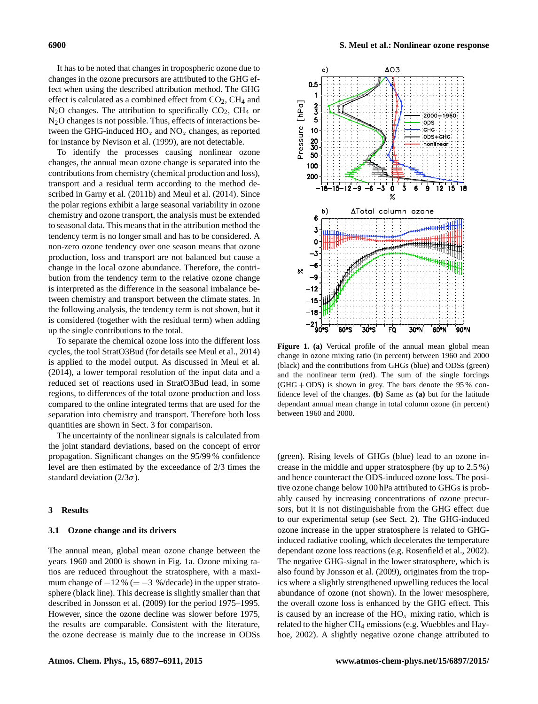It has to be noted that changes in tropospheric ozone due to changes in the ozone precursors are attributed to the GHG effect when using the described attribution method. The GHG effect is calculated as a combined effect from  $CO<sub>2</sub>$ ,  $CH<sub>4</sub>$  and  $N_2O$  changes. The attribution to specifically  $CO_2$ ,  $CH_4$  or N<sub>2</sub>O changes is not possible. Thus, effects of interactions between the GHG-induced  $HO_x$  and  $NO_x$  changes, as reported for instance by [Nevison et al.](#page-13-10) [\(1999\)](#page-13-10), are not detectable.

To identify the processes causing nonlinear ozone changes, the annual mean ozone change is separated into the contributions from chemistry (chemical production and loss), transport and a residual term according to the method described in [Garny et al.](#page-13-21) [\(2011b\)](#page-13-21) and [Meul et al.](#page-13-22) [\(2014\)](#page-13-22). Since the polar regions exhibit a large seasonal variability in ozone chemistry and ozone transport, the analysis must be extended to seasonal data. This means that in the attribution method the tendency term is no longer small and has to be considered. A non-zero ozone tendency over one season means that ozone production, loss and transport are not balanced but cause a change in the local ozone abundance. Therefore, the contribution from the tendency term to the relative ozone change is interpreted as the difference in the seasonal imbalance between chemistry and transport between the climate states. In the following analysis, the tendency term is not shown, but it is considered (together with the residual term) when adding up the single contributions to the total.

To separate the chemical ozone loss into the different loss cycles, the tool StratO3Bud (for details see [Meul et al.,](#page-13-22) [2014\)](#page-13-22) is applied to the model output. As discussed in [Meul et al.](#page-13-22) [\(2014\)](#page-13-22), a lower temporal resolution of the input data and a reduced set of reactions used in StratO3Bud lead, in some regions, to differences of the total ozone production and loss compared to the online integrated terms that are used for the separation into chemistry and transport. Therefore both loss quantities are shown in Sect. [3](#page-3-0) for comparison.

The uncertainty of the nonlinear signals is calculated from the joint standard deviations, based on the concept of error propagation. Significant changes on the 95/99 % confidence level are then estimated by the exceedance of 2/3 times the standard deviation ( $2/3\sigma$ ).

#### <span id="page-3-0"></span>**3 Results**

#### **3.1 Ozone change and its drivers**

The annual mean, global mean ozone change between the years 1960 and 2000 is shown in Fig. [1a](#page-3-1). Ozone mixing ratios are reduced throughout the stratosphere, with a maximum change of  $-12\% (= -3\% / \text{decade})$  in the upper stratosphere (black line). This decrease is slightly smaller than that described in [Jonsson et al.](#page-13-13) [\(2009\)](#page-13-13) for the period 1975–1995. However, since the ozone decline was slower before 1975, the results are comparable. Consistent with the literature, the ozone decrease is mainly due to the increase in ODSs

<span id="page-3-1"></span>

**Figure 1. (a)** Vertical profile of the annual mean global mean change in ozone mixing ratio (in percent) between 1960 and 2000 (black) and the contributions from GHGs (blue) and ODSs (green) and the nonlinear term (red). The sum of the single forcings  $(GHG + ODS)$  is shown in grey. The bars denote the 95% confidence level of the changes. **(b)** Same as **(a)** but for the latitude dependant annual mean change in total column ozone (in percent) between 1960 and 2000.

(green). Rising levels of GHGs (blue) lead to an ozone increase in the middle and upper stratosphere (by up to 2.5 %) and hence counteract the ODS-induced ozone loss. The positive ozone change below 100 hPa attributed to GHGs is probably caused by increasing concentrations of ozone precursors, but it is not distinguishable from the GHG effect due to our experimental setup (see Sect. [2\)](#page-2-0). The GHG-induced ozone increase in the upper stratosphere is related to GHGinduced radiative cooling, which decelerates the temperature dependant ozone loss reactions (e.g. [Rosenfield et al.,](#page-14-2) [2002\)](#page-14-2). The negative GHG-signal in the lower stratosphere, which is also found by [Jonsson et al.](#page-13-13) [\(2009\)](#page-13-13), originates from the tropics where a slightly strengthened upwelling reduces the local abundance of ozone (not shown). In the lower mesosphere, the overall ozone loss is enhanced by the GHG effect. This is caused by an increase of the  $HO_x$  mixing ratio, which is related to the higher CH<sub>4</sub> emissions (e.g. [Wuebbles and Hay](#page-14-11)[hoe,](#page-14-11) [2002\)](#page-14-11). A slightly negative ozone change attributed to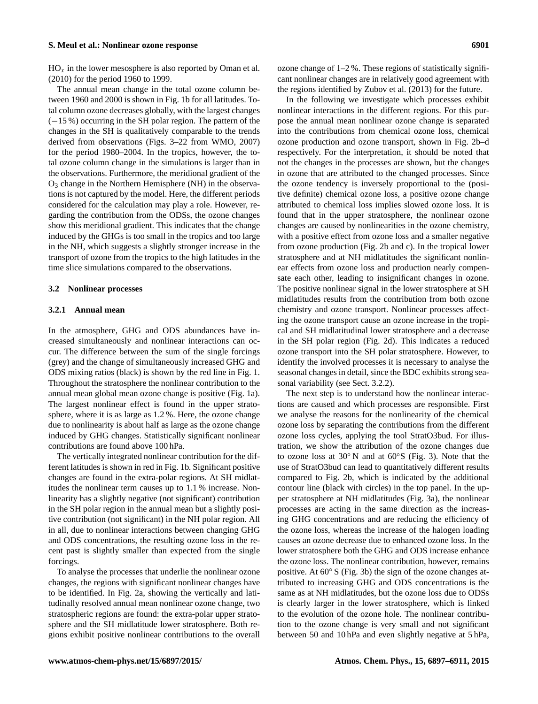# **S. Meul et al.: Nonlinear ozone response 6901**

 $HO_x$  in the lower mesosphere is also reported by [Oman et al.](#page-13-12) [\(2010\)](#page-13-12) for the period 1960 to 1999.

The annual mean change in the total ozone column between 1960 and 2000 is shown in Fig. [1b](#page-3-1) for all latitudes. Total column ozone decreases globally, with the largest changes (−15 %) occurring in the SH polar region. The pattern of the changes in the SH is qualitatively comparable to the trends derived from observations (Figs. 3–22 from [WMO,](#page-14-0) [2007\)](#page-14-0) for the period 1980–2004. In the tropics, however, the total ozone column change in the simulations is larger than in the observations. Furthermore, the meridional gradient of the  $O<sub>3</sub>$  change in the Northern Hemisphere (NH) in the observations is not captured by the model. Here, the different periods considered for the calculation may play a role. However, regarding the contribution from the ODSs, the ozone changes show this meridional gradient. This indicates that the change induced by the GHGs is too small in the tropics and too large in the NH, which suggests a slightly stronger increase in the transport of ozone from the tropics to the high latitudes in the time slice simulations compared to the observations.

#### **3.2 Nonlinear processes**

#### <span id="page-4-0"></span>**3.2.1 Annual mean**

In the atmosphere, GHG and ODS abundances have increased simultaneously and nonlinear interactions can occur. The difference between the sum of the single forcings (grey) and the change of simultaneously increased GHG and ODS mixing ratios (black) is shown by the red line in Fig. [1.](#page-3-1) Throughout the stratosphere the nonlinear contribution to the annual mean global mean ozone change is positive (Fig. [1a](#page-3-1)). The largest nonlinear effect is found in the upper stratosphere, where it is as large as 1.2 %. Here, the ozone change due to nonlinearity is about half as large as the ozone change induced by GHG changes. Statistically significant nonlinear contributions are found above 100 hPa.

The vertically integrated nonlinear contribution for the different latitudes is shown in red in Fig. [1b](#page-3-1). Significant positive changes are found in the extra-polar regions. At SH midlatitudes the nonlinear term causes up to 1.1 % increase. Nonlinearity has a slightly negative (not significant) contribution in the SH polar region in the annual mean but a slightly positive contribution (not significant) in the NH polar region. All in all, due to nonlinear interactions between changing GHG and ODS concentrations, the resulting ozone loss in the recent past is slightly smaller than expected from the single forcings.

To analyse the processes that underlie the nonlinear ozone changes, the regions with significant nonlinear changes have to be identified. In Fig. [2a](#page-5-0), showing the vertically and latitudinally resolved annual mean nonlinear ozone change, two stratospheric regions are found: the extra-polar upper stratosphere and the SH midlatitude lower stratosphere. Both regions exhibit positive nonlinear contributions to the overall ozone change of 1–2 %. These regions of statistically significant nonlinear changes are in relatively good agreement with the regions identified by [Zubov et al.](#page-14-8) [\(2013\)](#page-14-8) for the future.

In the following we investigate which processes exhibit nonlinear interactions in the different regions. For this purpose the annual mean nonlinear ozone change is separated into the contributions from chemical ozone loss, chemical ozone production and ozone transport, shown in Fig. [2b](#page-5-0)–d respectively. For the interpretation, it should be noted that not the changes in the processes are shown, but the changes in ozone that are attributed to the changed processes. Since the ozone tendency is inversely proportional to the (positive definite) chemical ozone loss, a positive ozone change attributed to chemical loss implies slowed ozone loss. It is found that in the upper stratosphere, the nonlinear ozone changes are caused by nonlinearities in the ozone chemistry, with a positive effect from ozone loss and a smaller negative from ozone production (Fig. [2b](#page-5-0) and c). In the tropical lower stratosphere and at NH midlatitudes the significant nonlinear effects from ozone loss and production nearly compensate each other, leading to insignificant changes in ozone. The positive nonlinear signal in the lower stratosphere at SH midlatitudes results from the contribution from both ozone chemistry and ozone transport. Nonlinear processes affecting the ozone transport cause an ozone increase in the tropical and SH midlatitudinal lower stratosphere and a decrease in the SH polar region (Fig. [2d](#page-5-0)). This indicates a reduced ozone transport into the SH polar stratosphere. However, to identify the involved processes it is necessary to analyse the seasonal changes in detail, since the BDC exhibits strong seasonal variability (see Sect. [3.2.2\)](#page-7-0).

The next step is to understand how the nonlinear interactions are caused and which processes are responsible. First we analyse the reasons for the nonlinearity of the chemical ozone loss by separating the contributions from the different ozone loss cycles, applying the tool StratO3bud. For illustration, we show the attribution of the ozone changes due to ozone loss at 30◦ N and at 60◦S (Fig. [3\)](#page-6-0). Note that the use of StratO3bud can lead to quantitatively different results compared to Fig. [2b](#page-5-0), which is indicated by the additional contour line (black with circles) in the top panel. In the upper stratosphere at NH midlatitudes (Fig. [3a](#page-6-0)), the nonlinear processes are acting in the same direction as the increasing GHG concentrations and are reducing the efficiency of the ozone loss, whereas the increase of the halogen loading causes an ozone decrease due to enhanced ozone loss. In the lower stratosphere both the GHG and ODS increase enhance the ozone loss. The nonlinear contribution, however, remains positive. At 60◦ S (Fig. [3b](#page-6-0)) the sign of the ozone changes attributed to increasing GHG and ODS concentrations is the same as at NH midlatitudes, but the ozone loss due to ODSs is clearly larger in the lower stratosphere, which is linked to the evolution of the ozone hole. The nonlinear contribution to the ozone change is very small and not significant between 50 and 10 hPa and even slightly negative at 5 hPa,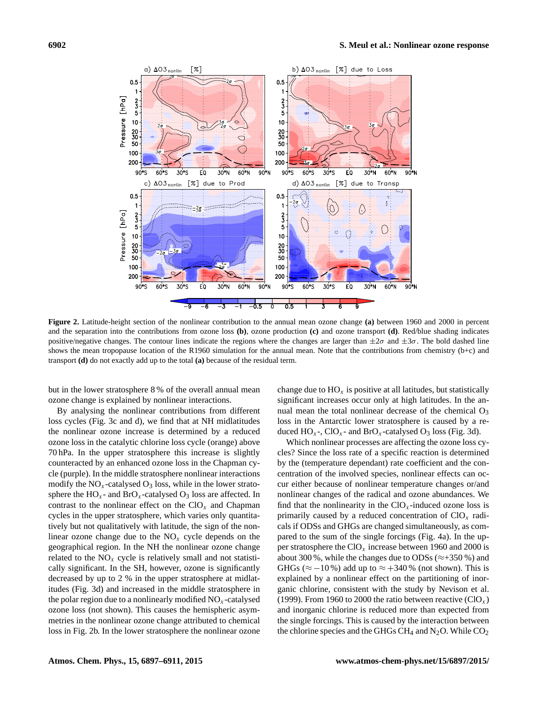<span id="page-5-0"></span>

**Figure 2.** Latitude-height section of the nonlinear contribution to the annual mean ozone change **(a)** between 1960 and 2000 in percent and the separation into the contributions from ozone loss **(b)**, ozone production **(c)** and ozone transport **(d)**. Red/blue shading indicates positive/negative changes. The contour lines indicate the regions where the changes are larger than  $\pm 2\sigma$  and  $\pm 3\sigma$ . The bold dashed line shows the mean tropopause location of the R1960 simulation for the annual mean. Note that the contributions from chemistry (b+c) and transport **(d)** do not exactly add up to the total **(a)** because of the residual term.

but in the lower stratosphere 8 % of the overall annual mean ozone change is explained by nonlinear interactions.

By analysing the nonlinear contributions from different loss cycles (Fig. [3c](#page-6-0) and d), we find that at NH midlatitudes the nonlinear ozone increase is determined by a reduced ozone loss in the catalytic chlorine loss cycle (orange) above 70 hPa. In the upper stratosphere this increase is slightly counteracted by an enhanced ozone loss in the Chapman cycle (purple). In the middle stratosphere nonlinear interactions modify the  $NO<sub>x</sub>$ -catalysed  $O<sub>3</sub>$  loss, while in the lower stratosphere the  $HO_x$ - and  $BrO_x$ -catalysed  $O_3$  loss are affected. In contrast to the nonlinear effect on the  $ClO_x$  and Chapman cycles in the upper stratosphere, which varies only quantitatively but not qualitatively with latitude, the sign of the nonlinear ozone change due to the  $NO<sub>x</sub>$  cycle depends on the geographical region. In the NH the nonlinear ozone change related to the  $NO<sub>x</sub>$  cycle is relatively small and not statistically significant. In the SH, however, ozone is significantly decreased by up to 2 % in the upper stratosphere at midlatitudes (Fig. [3d](#page-6-0)) and increased in the middle stratosphere in the polar region due to a nonlinearly modified  $NO<sub>x</sub>$ -catalysed ozone loss (not shown). This causes the hemispheric asymmetries in the nonlinear ozone change attributed to chemical loss in Fig. [2b](#page-5-0). In the lower stratosphere the nonlinear ozone change due to  $HO_x$  is positive at all latitudes, but statistically significant increases occur only at high latitudes. In the annual mean the total nonlinear decrease of the chemical  $O_3$ loss in the Antarctic lower stratosphere is caused by a reduced  $HO_x$ -,  $ClO_x$ - and  $BrO_x$ -catalysed  $O_3$  loss (Fig. [3d](#page-6-0)).

Which nonlinear processes are affecting the ozone loss cycles? Since the loss rate of a specific reaction is determined by the (temperature dependant) rate coefficient and the concentration of the involved species, nonlinear effects can occur either because of nonlinear temperature changes or/and nonlinear changes of the radical and ozone abundances. We find that the nonlinearity in the  $ClO_x$ -induced ozone loss is primarily caused by a reduced concentration of  $ClO_x$  radicals if ODSs and GHGs are changed simultaneously, as compared to the sum of the single forcings (Fig. [4a](#page-6-1)). In the upper stratosphere the  $ClO_x$  increase between 1960 and 2000 is about 300 %, while the changes due to ODSs ( $\approx$ +350 %) and GHGs ( $\approx$  -10%) add up to  $\approx$  +340% (not shown). This is explained by a nonlinear effect on the partitioning of inorganic chlorine, consistent with the study by [Nevison et al.](#page-13-10) [\(1999\)](#page-13-10). From 1960 to 2000 the ratio between reactive  $(CIO<sub>x</sub>)$ and inorganic chlorine is reduced more than expected from the single forcings. This is caused by the interaction between the chlorine species and the GHGs CH<sub>4</sub> and  $N_2O$ . While  $CO_2$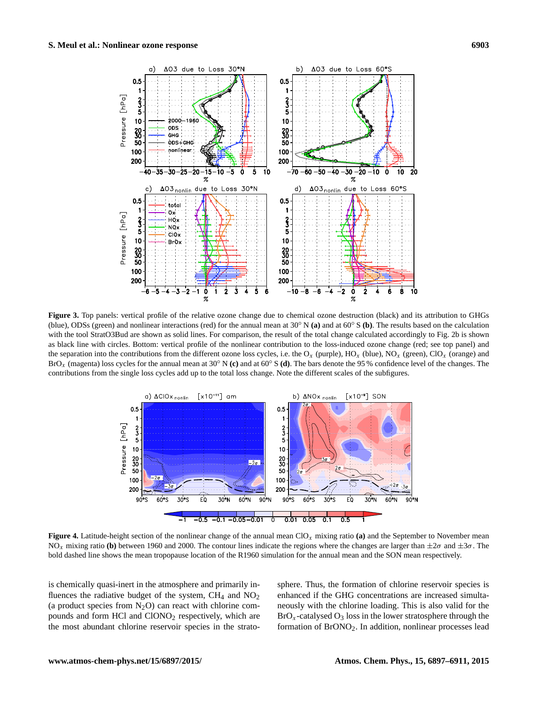<span id="page-6-0"></span>

**Figure 3.** Top panels: vertical profile of the relative ozone change due to chemical ozone destruction (black) and its attribution to GHGs (blue), ODSs (green) and nonlinear interactions (red) for the annual mean at 30◦ N **(a)** and at 60◦ S **(b)**. The results based on the calculation with the tool StratO3Bud are shown as solid lines. For comparison, the result of the total change calculated accordingly to Fig. [2b](#page-5-0) is shown as black line with circles. Bottom: vertical profile of the nonlinear contribution to the loss-induced ozone change (red; see top panel) and the separation into the contributions from the different ozone loss cycles, i.e. the  $O_x$  (purple),  $HO_x$  (blue),  $NO_x$  (green),  $ClO_x$  (orange) and BrO<sup>x</sup> (magenta) loss cycles for the annual mean at 30◦ <sup>N</sup> **(c)** and at 60◦ <sup>S</sup> **(d)**. The bars denote the 95 % confidence level of the changes. The contributions from the single loss cycles add up to the total loss change. Note the different scales of the subfigures.

<span id="page-6-1"></span>

**Figure 4.** Latitude-height section of the nonlinear change of the annual mean ClO<sub>x</sub> mixing ratio (a) and the September to November mean NO<sub>x</sub> mixing ratio (b) between 1960 and 2000. The contour lines indicate the regions where the changes are larger than  $\pm 2\sigma$  and  $\pm 3\sigma$ . The bold dashed line shows the mean tropopause location of the R1960 simulation for the annual mean and the SON mean respectively.

is chemically quasi-inert in the atmosphere and primarily influences the radiative budget of the system,  $CH_4$  and  $NO<sub>2</sub>$ (a product species from  $N_2O$ ) can react with chlorine compounds and form HCl and ClONO<sub>2</sub> respectively, which are the most abundant chlorine reservoir species in the stratosphere. Thus, the formation of chlorine reservoir species is enhanced if the GHG concentrations are increased simultaneously with the chlorine loading. This is also valid for the  $BrO<sub>x</sub>$ -catalysed  $O<sub>3</sub>$  loss in the lower stratosphere through the formation of BrONO2. In addition, nonlinear processes lead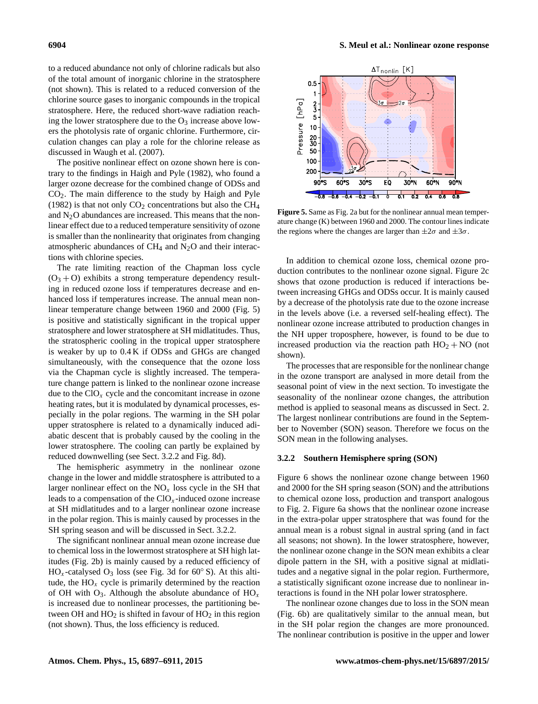to a reduced abundance not only of chlorine radicals but also of the total amount of inorganic chlorine in the stratosphere (not shown). This is related to a reduced conversion of the chlorine source gases to inorganic compounds in the tropical stratosphere. Here, the reduced short-wave radiation reaching the lower stratosphere due to the  $O_3$  increase above lowers the photolysis rate of organic chlorine. Furthermore, circulation changes can play a role for the chlorine release as discussed in [Waugh et al.](#page-14-12) [\(2007\)](#page-14-12).

The positive nonlinear effect on ozone shown here is contrary to the findings in [Haigh and Pyle](#page-13-14) [\(1982\)](#page-13-14), who found a larger ozone decrease for the combined change of ODSs and CO2. The main difference to the study by [Haigh and Pyle](#page-13-14) [\(1982\)](#page-13-14) is that not only  $CO<sub>2</sub>$  concentrations but also the CH<sub>4</sub> and  $N<sub>2</sub>O$  abundances are increased. This means that the nonlinear effect due to a reduced temperature sensitivity of ozone is smaller than the nonlinearity that originates from changing atmospheric abundances of  $CH<sub>4</sub>$  and N<sub>2</sub>O and their interactions with chlorine species.

The rate limiting reaction of the Chapman loss cycle  $(O_3 + O)$  exhibits a strong temperature dependency resulting in reduced ozone loss if temperatures decrease and enhanced loss if temperatures increase. The annual mean nonlinear temperature change between 1960 and 2000 (Fig. [5\)](#page-7-1) is positive and statistically significant in the tropical upper stratosphere and lower stratosphere at SH midlatitudes. Thus, the stratospheric cooling in the tropical upper stratosphere is weaker by up to 0.4 K if ODSs and GHGs are changed simultaneously, with the consequence that the ozone loss via the Chapman cycle is slightly increased. The temperature change pattern is linked to the nonlinear ozone increase due to the  $ClO_x$  cycle and the concomitant increase in ozone heating rates, but it is modulated by dynamical processes, especially in the polar regions. The warming in the SH polar upper stratosphere is related to a dynamically induced adiabatic descent that is probably caused by the cooling in the lower stratosphere. The cooling can partly be explained by reduced downwelling (see Sect. [3.2.2](#page-7-0) and Fig. [8d](#page-10-0)).

The hemispheric asymmetry in the nonlinear ozone change in the lower and middle stratosphere is attributed to a larger nonlinear effect on the  $NO<sub>x</sub>$  loss cycle in the SH that leads to a compensation of the  $ClO_x$ -induced ozone increase at SH midlatitudes and to a larger nonlinear ozone increase in the polar region. This is mainly caused by processes in the SH spring season and will be discussed in Sect. [3.2.2.](#page-7-0)

The significant nonlinear annual mean ozone increase due to chemical loss in the lowermost stratosphere at SH high latitudes (Fig. [2b](#page-5-0)) is mainly caused by a reduced efficiency of  $HO_x$ -catalysed  $O_3$  loss (see Fig. [3d](#page-6-0) for 60 $\degree$ S). At this altitude, the  $HO_x$  cycle is primarily determined by the reaction of OH with  $O_3$ . Although the absolute abundance of  $HO_x$ is increased due to nonlinear processes, the partitioning between OH and  $HO_2$  is shifted in favour of  $HO_2$  in this region (not shown). Thus, the loss efficiency is reduced.

<span id="page-7-1"></span>

**Figure 5.** Same as Fig. [2a](#page-5-0) but for the nonlinear annual mean temperature change (K) between 1960 and 2000. The contour lines indicate the regions where the changes are larger than  $\pm 2\sigma$  and  $\pm 3\sigma$ .

In addition to chemical ozone loss, chemical ozone production contributes to the nonlinear ozone signal. Figure [2c](#page-5-0) shows that ozone production is reduced if interactions between increasing GHGs and ODSs occur. It is mainly caused by a decrease of the photolysis rate due to the ozone increase in the levels above (i.e. a reversed self-healing effect). The nonlinear ozone increase attributed to production changes in the NH upper troposphere, however, is found to be due to increased production via the reaction path  $HO_2 + NO$  (not shown).

The processes that are responsible for the nonlinear change in the ozone transport are analysed in more detail from the seasonal point of view in the next section. To investigate the seasonality of the nonlinear ozone changes, the attribution method is applied to seasonal means as discussed in Sect. [2.](#page-2-0) The largest nonlinear contributions are found in the September to November (SON) season. Therefore we focus on the SON mean in the following analyses.

## <span id="page-7-0"></span>**3.2.2 Southern Hemisphere spring (SON)**

Figure [6](#page-8-0) shows the nonlinear ozone change between 1960 and 2000 for the SH spring season (SON) and the attributions to chemical ozone loss, production and transport analogous to Fig. [2.](#page-5-0) Figure [6a](#page-8-0) shows that the nonlinear ozone increase in the extra-polar upper stratosphere that was found for the annual mean is a robust signal in austral spring (and in fact all seasons; not shown). In the lower stratosphere, however, the nonlinear ozone change in the SON mean exhibits a clear dipole pattern in the SH, with a positive signal at midlatitudes and a negative signal in the polar region. Furthermore, a statistically significant ozone increase due to nonlinear interactions is found in the NH polar lower stratosphere.

The nonlinear ozone changes due to loss in the SON mean (Fig. [6b](#page-8-0)) are qualitatively similar to the annual mean, but in the SH polar region the changes are more pronounced. The nonlinear contribution is positive in the upper and lower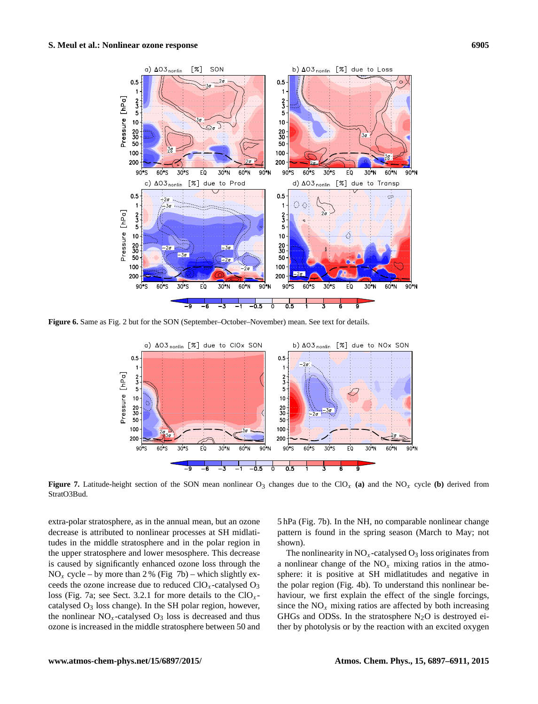<span id="page-8-0"></span>

<span id="page-8-1"></span>**Figure 6.** Same as Fig. [2](#page-5-0) but for the SON (September–October–November) mean. See text for details.



**Figure 7.** Latitude-height section of the SON mean nonlinear  $O_3$  changes due to the ClO<sub>x</sub> (a) and the NO<sub>x</sub> cycle (b) derived from StratO3Bud.

extra-polar stratosphere, as in the annual mean, but an ozone decrease is attributed to nonlinear processes at SH midlatitudes in the middle stratosphere and in the polar region in the upper stratosphere and lower mesosphere. This decrease is caused by significantly enhanced ozone loss through the  $NO<sub>x</sub>$  cycle – by more than 2 % (Fig [7b](#page-8-1)) – which slightly exceeds the ozone increase due to reduced  $ClO_x$ -catalysed  $O_3$ loss (Fig. [7a](#page-8-1); see Sect. [3.2.1](#page-4-0) for more details to the  $ClO_x$ catalysed  $O_3$  loss change). In the SH polar region, however, the nonlinear  $NO<sub>x</sub>$ -catalysed  $O<sub>3</sub>$  loss is decreased and thus ozone is increased in the middle stratosphere between 50 and 5 hPa (Fig. [7b](#page-8-1)). In the NH, no comparable nonlinear change pattern is found in the spring season (March to May; not shown).

The nonlinearity in  $NO<sub>x</sub>$ -catalysed  $O<sub>3</sub>$  loss originates from a nonlinear change of the  $NO<sub>x</sub>$  mixing ratios in the atmosphere: it is positive at SH midlatitudes and negative in the polar region (Fig. [4b](#page-6-1)). To understand this nonlinear behaviour, we first explain the effect of the single forcings, since the  $NO<sub>x</sub>$  mixing ratios are affected by both increasing GHGs and ODSs. In the stratosphere  $N_2O$  is destroyed either by photolysis or by the reaction with an excited oxygen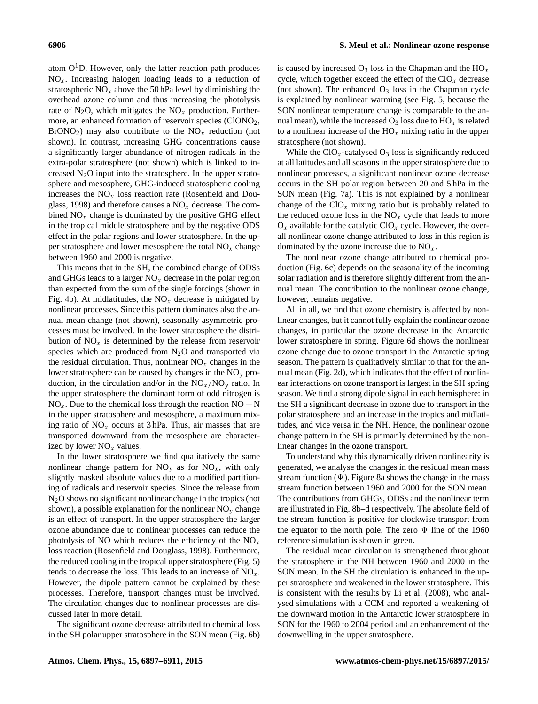atom  $O<sup>1</sup>D$ . However, only the latter reaction path produces  $NO<sub>x</sub>$ . Increasing halogen loading leads to a reduction of stratospheric  $NO<sub>x</sub>$  above the 50 hPa level by diminishing the overhead ozone column and thus increasing the photolysis rate of N<sub>2</sub>O, which mitigates the NO<sub>x</sub> production. Furthermore, an enhanced formation of reservoir species (ClONO<sub>2</sub>,  $BrONO<sub>2</sub>$ ) may also contribute to the  $NO<sub>x</sub>$  reduction (not shown). In contrast, increasing GHG concentrations cause a significantly larger abundance of nitrogen radicals in the extra-polar stratosphere (not shown) which is linked to increased  $N_2O$  input into the stratosphere. In the upper stratosphere and mesosphere, GHG-induced stratospheric cooling increases the  $NO<sub>v</sub>$  loss reaction rate [\(Rosenfield and Dou](#page-14-3)[glass,](#page-14-3) [1998\)](#page-14-3) and therefore causes a  $NO<sub>x</sub>$  decrease. The combined  $NO<sub>x</sub>$  change is dominated by the positive GHG effect in the tropical middle stratosphere and by the negative ODS effect in the polar regions and lower stratosphere. In the upper stratosphere and lower mesosphere the total  $NO<sub>x</sub>$  change between 1960 and 2000 is negative.

This means that in the SH, the combined change of ODSs and GHGs leads to a larger  $NO<sub>x</sub>$  decrease in the polar region than expected from the sum of the single forcings (shown in Fig. [4b](#page-6-1)). At midlatitudes, the  $NO<sub>x</sub>$  decrease is mitigated by nonlinear processes. Since this pattern dominates also the annual mean change (not shown), seasonally asymmetric processes must be involved. In the lower stratosphere the distribution of  $NO<sub>x</sub>$  is determined by the release from reservoir species which are produced from  $N_2O$  and transported via the residual circulation. Thus, nonlinear  $NO<sub>x</sub>$  changes in the lower stratosphere can be caused by changes in the  $NO<sub>v</sub>$  production, in the circulation and/or in the  $NO_x/NO_y$  ratio. In the upper stratosphere the dominant form of odd nitrogen is  $NO<sub>x</sub>$ . Due to the chemical loss through the reaction  $NO + N$ in the upper stratosphere and mesosphere, a maximum mixing ratio of  $NO<sub>x</sub>$  occurs at 3 hPa. Thus, air masses that are transported downward from the mesosphere are characterized by lower  $NO<sub>x</sub>$  values.

In the lower stratosphere we find qualitatively the same nonlinear change pattern for  $NO_y$  as for  $NO_x$ , with only slightly masked absolute values due to a modified partitioning of radicals and reservoir species. Since the release from N2O shows no significant nonlinear change in the tropics (not shown), a possible explanation for the nonlinear  $NO<sub>v</sub>$  change is an effect of transport. In the upper stratosphere the larger ozone abundance due to nonlinear processes can reduce the photolysis of NO which reduces the efficiency of the  $NO<sub>x</sub>$ loss reaction [\(Rosenfield and Douglass,](#page-14-3) [1998\)](#page-14-3). Furthermore, the reduced cooling in the tropical upper stratosphere (Fig. [5\)](#page-7-1) tends to decrease the loss. This leads to an increase of  $NO<sub>x</sub>$ . However, the dipole pattern cannot be explained by these processes. Therefore, transport changes must be involved. The circulation changes due to nonlinear processes are discussed later in more detail.

The significant ozone decrease attributed to chemical loss in the SH polar upper stratosphere in the SON mean (Fig. [6b](#page-8-0)) is caused by increased  $O_3$  loss in the Chapman and the  $HO_x$ cycle, which together exceed the effect of the  $ClO_x$  decrease (not shown). The enhanced  $O_3$  loss in the Chapman cycle is explained by nonlinear warming (see Fig. [5,](#page-7-1) because the SON nonlinear temperature change is comparable to the annual mean), while the increased  $O_3$  loss due to  $HO_x$  is related to a nonlinear increase of the  $HO_x$  mixing ratio in the upper stratosphere (not shown).

While the  $ClO_x$ -catalysed  $O_3$  loss is significantly reduced at all latitudes and all seasons in the upper stratosphere due to nonlinear processes, a significant nonlinear ozone decrease occurs in the SH polar region between 20 and 5 hPa in the SON mean (Fig. [7a](#page-8-1)). This is not explained by a nonlinear change of the  $ClO_x$  mixing ratio but is probably related to the reduced ozone loss in the  $NO<sub>x</sub>$  cycle that leads to more  $O_x$  available for the catalytic ClO<sub>x</sub> cycle. However, the overall nonlinear ozone change attributed to loss in this region is dominated by the ozone increase due to  $NO<sub>x</sub>$ .

The nonlinear ozone change attributed to chemical production (Fig. [6c](#page-8-0)) depends on the seasonality of the incoming solar radiation and is therefore slightly different from the annual mean. The contribution to the nonlinear ozone change, however, remains negative.

All in all, we find that ozone chemistry is affected by nonlinear changes, but it cannot fully explain the nonlinear ozone changes, in particular the ozone decrease in the Antarctic lower stratosphere in spring. Figure [6d](#page-8-0) shows the nonlinear ozone change due to ozone transport in the Antarctic spring season. The pattern is qualitatively similar to that for the annual mean (Fig. [2d](#page-5-0)), which indicates that the effect of nonlinear interactions on ozone transport is largest in the SH spring season. We find a strong dipole signal in each hemisphere: in the SH a significant decrease in ozone due to transport in the polar stratosphere and an increase in the tropics and midlatitudes, and vice versa in the NH. Hence, the nonlinear ozone change pattern in the SH is primarily determined by the nonlinear changes in the ozone transport.

To understand why this dynamically driven nonlinearity is generated, we analyse the changes in the residual mean mass stream function  $(\Psi)$ . Figure [8a](#page-10-0) shows the change in the mass stream function between 1960 and 2000 for the SON mean. The contributions from GHGs, ODSs and the nonlinear term are illustrated in Fig. [8b](#page-10-0)–d respectively. The absolute field of the stream function is positive for clockwise transport from the equator to the north pole. The zero  $\Psi$  line of the 1960 reference simulation is shown in green.

The residual mean circulation is strengthened throughout the stratosphere in the NH between 1960 and 2000 in the SON mean. In the SH the circulation is enhanced in the upper stratosphere and weakened in the lower stratosphere. This is consistent with the results by [Li et al.](#page-13-23) [\(2008\)](#page-13-23), who analysed simulations with a CCM and reported a weakening of the downward motion in the Antarctic lower stratosphere in SON for the 1960 to 2004 period and an enhancement of the downwelling in the upper stratosphere.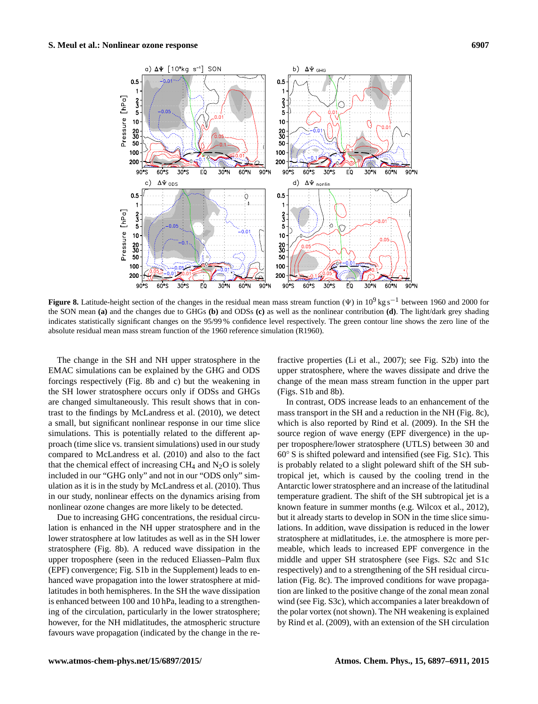<span id="page-10-0"></span>

Figure 8. Latitude-height section of the changes in the residual mean mass stream function ( $\Psi$ ) in 10<sup>9</sup> kg s<sup>-1</sup> between 1960 and 2000 for the SON mean **(a)** and the changes due to GHGs **(b)** and ODSs **(c)** as well as the nonlinear contribution **(d)**. The light/dark grey shading indicates statistically significant changes on the 95/99 % confidence level respectively. The green contour line shows the zero line of the absolute residual mean mass stream function of the 1960 reference simulation (R1960).

The change in the SH and NH upper stratosphere in the EMAC simulations can be explained by the GHG and ODS forcings respectively (Fig. [8b](#page-10-0) and c) but the weakening in the SH lower stratosphere occurs only if ODSs and GHGs are changed simultaneously. This result shows that in contrast to the findings by [McLandress et al.](#page-13-11) [\(2010\)](#page-13-11), we detect a small, but significant nonlinear response in our time slice simulations. This is potentially related to the different approach (time slice vs. transient simulations) used in our study compared to [McLandress et al.](#page-13-11) [\(2010\)](#page-13-11) and also to the fact that the chemical effect of increasing  $CH_4$  and  $N_2O$  is solely included in our "GHG only" and not in our "ODS only" simulation as it is in the study by [McLandress et al.](#page-13-11) [\(2010\)](#page-13-11). Thus in our study, nonlinear effects on the dynamics arising from nonlinear ozone changes are more likely to be detected.

Due to increasing GHG concentrations, the residual circulation is enhanced in the NH upper stratosphere and in the lower stratosphere at low latitudes as well as in the SH lower stratosphere (Fig. [8b](#page-10-0)). A reduced wave dissipation in the upper troposphere (seen in the reduced Eliassen–Palm flux (EPF) convergence; Fig. S1b in the Supplement) leads to enhanced wave propagation into the lower stratosphere at midlatitudes in both hemispheres. In the SH the wave dissipation is enhanced between 100 and 10 hPa, leading to a strengthening of the circulation, particularly in the lower stratosphere; however, for the NH midlatitudes, the atmospheric structure favours wave propagation (indicated by the change in the re-

fractive properties [\(Li et al.,](#page-13-24) [2007\)](#page-13-24); see Fig. S2b) into the upper stratosphere, where the waves dissipate and drive the change of the mean mass stream function in the upper part (Figs. S1b and [8b](#page-10-0)).

In contrast, ODS increase leads to an enhancement of the mass transport in the SH and a reduction in the NH (Fig. [8c](#page-10-0)), which is also reported by [Rind et al.](#page-13-25) [\(2009\)](#page-13-25). In the SH the source region of wave energy (EPF divergence) in the upper troposphere/lower stratosphere (UTLS) between 30 and 60◦ S is shifted poleward and intensified (see Fig. S1c). This is probably related to a slight poleward shift of the SH subtropical jet, which is caused by the cooling trend in the Antarctic lower stratosphere and an increase of the latitudinal temperature gradient. The shift of the SH subtropical jet is a known feature in summer months (e.g. [Wilcox et al.,](#page-14-13) [2012\)](#page-14-13), but it already starts to develop in SON in the time slice simulations. In addition, wave dissipation is reduced in the lower stratosphere at midlatitudes, i.e. the atmosphere is more permeable, which leads to increased EPF convergence in the middle and upper SH stratosphere (see Figs. S2c and S1c respectively) and to a strengthening of the SH residual circulation (Fig. [8c](#page-10-0)). The improved conditions for wave propagation are linked to the positive change of the zonal mean zonal wind (see Fig. S3c), which accompanies a later breakdown of the polar vortex (not shown). The NH weakening is explained by [Rind et al.](#page-13-25) [\(2009\)](#page-13-25), with an extension of the SH circulation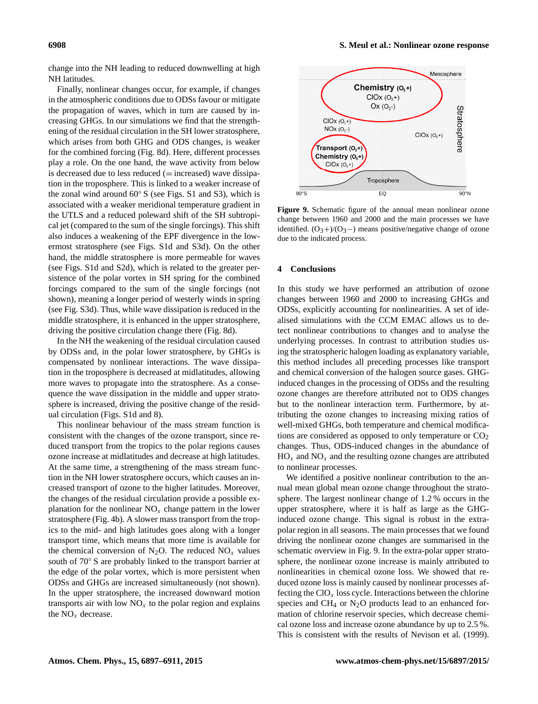change into the NH leading to reduced downwelling at high NH latitudes.

Finally, nonlinear changes occur, for example, if changes in the atmospheric conditions due to ODSs favour or mitigate the propagation of waves, which in turn are caused by increasing GHGs. In our simulations we find that the strengthening of the residual circulation in the SH lower stratosphere, which arises from both GHG and ODS changes, is weaker for the combined forcing (Fig. [8d](#page-10-0)). Here, different processes play a role. On the one hand, the wave activity from below is decreased due to less reduced  $(=increased)$  wave dissipation in the troposphere. This is linked to a weaker increase of the zonal wind around 60◦ S (see Figs. S1 and S3), which is associated with a weaker meridional temperature gradient in the UTLS and a reduced poleward shift of the SH subtropical jet (compared to the sum of the single forcings). This shift also induces a weakening of the EPF divergence in the lowermost stratosphere (see Figs. S1d and S3d). On the other hand, the middle stratosphere is more permeable for waves (see Figs. S1d and S2d), which is related to the greater persistence of the polar vortex in SH spring for the combined forcings compared to the sum of the single forcings (not shown), meaning a longer period of westerly winds in spring (see Fig. S3d). Thus, while wave dissipation is reduced in the middle stratosphere, it is enhanced in the upper stratosphere, driving the positive circulation change there (Fig. [8d](#page-10-0)).

In the NH the weakening of the residual circulation caused by ODSs and, in the polar lower stratosphere, by GHGs is compensated by nonlinear interactions. The wave dissipation in the troposphere is decreased at midlatitudes, allowing more waves to propagate into the stratosphere. As a consequence the wave dissipation in the middle and upper stratosphere is increased, driving the positive change of the residual circulation (Figs. S1d and [8\)](#page-10-0).

This nonlinear behaviour of the mass stream function is consistent with the changes of the ozone transport, since reduced transport from the tropics to the polar regions causes ozone increase at midlatitudes and decrease at high latitudes. At the same time, a strengthening of the mass stream function in the NH lower stratosphere occurs, which causes an increased transport of ozone to the higher latitudes. Moreover, the changes of the residual circulation provide a possible explanation for the nonlinear  $NO<sub>x</sub>$  change pattern in the lower stratosphere (Fig. [4b](#page-6-1)). A slower mass transport from the tropics to the mid- and high latitudes goes along with a longer transport time, which means that more time is available for the chemical conversion of N<sub>2</sub>O. The reduced  $NO<sub>x</sub>$  values south of 70◦ S are probably linked to the transport barrier at the edge of the polar vortex, which is more persistent when ODSs and GHGs are increased simultaneously (not shown). In the upper stratosphere, the increased downward motion transports air with low  $NO<sub>x</sub>$  to the polar region and explains the  $NO<sub>x</sub>$  decrease.

<span id="page-11-1"></span>

**Figure 9.** Schematic figure of the annual mean nonlinear ozone change between 1960 and 2000 and the main processes we have identified.  $(O_3+)/(O_3-)$  means positive/negative change of ozone due to the indicated process.

## <span id="page-11-0"></span>**4 Conclusions**

In this study we have performed an attribution of ozone changes between 1960 and 2000 to increasing GHGs and ODSs, explicitly accounting for nonlinearities. A set of idealised simulations with the CCM EMAC allows us to detect nonlinear contributions to changes and to analyse the underlying processes. In contrast to attribution studies using the stratospheric halogen loading as explanatory variable, this method includes all preceding processes like transport and chemical conversion of the halogen source gases. GHGinduced changes in the processing of ODSs and the resulting ozone changes are therefore attributed not to ODS changes but to the nonlinear interaction term. Furthermore, by attributing the ozone changes to increasing mixing ratios of well-mixed GHGs, both temperature and chemical modifications are considered as opposed to only temperature or  $CO<sub>2</sub>$ changes. Thus, ODS-induced changes in the abundance of  $HO_x$  and  $NO_x$  and the resulting ozone changes are attributed to nonlinear processes.

We identified a positive nonlinear contribution to the annual mean global mean ozone change throughout the stratosphere. The largest nonlinear change of 1.2 % occurs in the upper stratosphere, where it is half as large as the GHGinduced ozone change. This signal is robust in the extrapolar region in all seasons. The main processes that we found driving the nonlinear ozone changes are summarised in the schematic overview in Fig. [9.](#page-11-1) In the extra-polar upper stratosphere, the nonlinear ozone increase is mainly attributed to nonlinearities in chemical ozone loss. We showed that reduced ozone loss is mainly caused by nonlinear processes affecting the  $ClO_x$  loss cycle. Interactions between the chlorine species and  $CH_4$  or  $N_2O$  products lead to an enhanced formation of chlorine reservoir species, which decrease chemical ozone loss and increase ozone abundance by up to 2.5 %. This is consistent with the results of [Nevison et al.](#page-13-10) [\(1999\)](#page-13-10).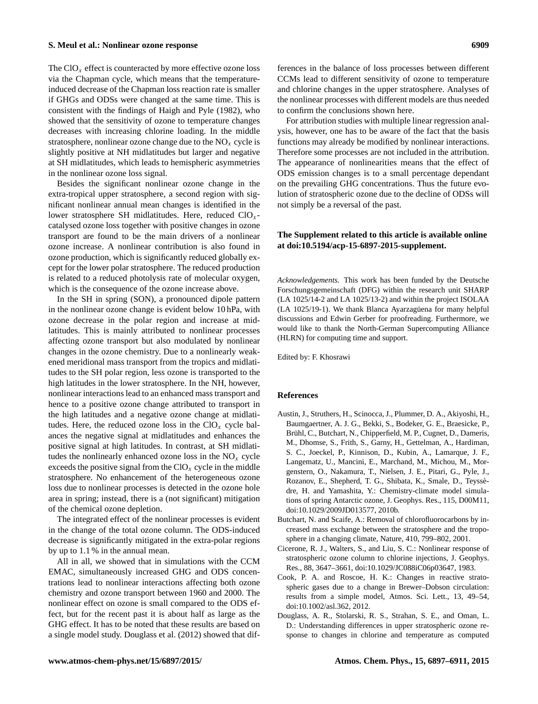# **S. Meul et al.: Nonlinear ozone response 6909**

The  $ClO_x$  effect is counteracted by more effective ozone loss via the Chapman cycle, which means that the temperatureinduced decrease of the Chapman loss reaction rate is smaller if GHGs and ODSs were changed at the same time. This is consistent with the findings of [Haigh and Pyle](#page-13-14) [\(1982\)](#page-13-14), who showed that the sensitivity of ozone to temperature changes decreases with increasing chlorine loading. In the middle stratosphere, nonlinear ozone change due to the  $NO<sub>x</sub>$  cycle is slightly positive at NH midlatitudes but larger and negative at SH midlatitudes, which leads to hemispheric asymmetries in the nonlinear ozone loss signal.

Besides the significant nonlinear ozone change in the extra-tropical upper stratosphere, a second region with significant nonlinear annual mean changes is identified in the lower stratosphere SH midlatitudes. Here, reduced  $ClO<sub>x</sub>$ catalysed ozone loss together with positive changes in ozone transport are found to be the main drivers of a nonlinear ozone increase. A nonlinear contribution is also found in ozone production, which is significantly reduced globally except for the lower polar stratosphere. The reduced production is related to a reduced photolysis rate of molecular oxygen, which is the consequence of the ozone increase above.

In the SH in spring (SON), a pronounced dipole pattern in the nonlinear ozone change is evident below 10 hPa, with ozone decrease in the polar region and increase at midlatitudes. This is mainly attributed to nonlinear processes affecting ozone transport but also modulated by nonlinear changes in the ozone chemistry. Due to a nonlinearly weakened meridional mass transport from the tropics and midlatitudes to the SH polar region, less ozone is transported to the high latitudes in the lower stratosphere. In the NH, however, nonlinear interactions lead to an enhanced mass transport and hence to a positive ozone change attributed to transport in the high latitudes and a negative ozone change at midlatitudes. Here, the reduced ozone loss in the  $ClO_x$  cycle balances the negative signal at midlatitudes and enhances the positive signal at high latitudes. In contrast, at SH midlatitudes the nonlinearly enhanced ozone loss in the  $NO<sub>x</sub>$  cycle exceeds the positive signal from the  $ClO_x$  cycle in the middle stratosphere. No enhancement of the heterogeneous ozone loss due to nonlinear processes is detected in the ozone hole area in spring; instead, there is a (not significant) mitigation of the chemical ozone depletion.

The integrated effect of the nonlinear processes is evident in the change of the total ozone column. The ODS-induced decrease is significantly mitigated in the extra-polar regions by up to 1.1 % in the annual mean.

All in all, we showed that in simulations with the CCM EMAC, simultaneously increased GHG and ODS concentrations lead to nonlinear interactions affecting both ozone chemistry and ozone transport between 1960 and 2000. The nonlinear effect on ozone is small compared to the ODS effect, but for the recent past it is about half as large as the GHG effect. It has to be noted that these results are based on a single model study. [Douglass et al.](#page-12-4) [\(2012\)](#page-12-4) showed that dif-

ferences in the balance of loss processes between different CCMs lead to different sensitivity of ozone to temperature and chlorine changes in the upper stratosphere. Analyses of the nonlinear processes with different models are thus needed to confirm the conclusions shown here.

For attribution studies with multiple linear regression analysis, however, one has to be aware of the fact that the basis functions may already be modified by nonlinear interactions. Therefore some processes are not included in the attribution. The appearance of nonlinearities means that the effect of ODS emission changes is to a small percentage dependant on the prevailing GHG concentrations. Thus the future evolution of stratospheric ozone due to the decline of ODSs will not simply be a reversal of the past.

## **The Supplement related to this article is available online at [doi:10.5194/acp-15-6897-2015-supplement.](http://dx.doi.org/10.5194/acp-15-6897-2015-supplement)**

*Acknowledgements.* This work has been funded by the Deutsche Forschungsgemeinschaft (DFG) within the research unit SHARP (LA 1025/14-2 and LA 1025/13-2) and within the project ISOLAA (LA 1025/19-1). We thank Blanca Ayarzagüena for many helpful discussions and Edwin Gerber for proofreading. Furthermore, we would like to thank the North-German Supercomputing Alliance (HLRN) for computing time and support.

Edited by: F. Khosrawi

#### **References**

- <span id="page-12-3"></span>Austin, J., Struthers, H., Scinocca, J., Plummer, D. A., Akiyoshi, H., Baumgaertner, A. J. G., Bekki, S., Bodeker, G. E., Braesicke, P., Brühl, C., Butchart, N., Chipperfield, M. P., Cugnet, D., Dameris, M., Dhomse, S., Frith, S., Garny, H., Gettelman, A., Hardiman, S. C., Joeckel, P., Kinnison, D., Kubin, A., Lamarque, J. F., Langematz, U., Mancini, E., Marchand, M., Michou, M., Morgenstern, O., Nakamura, T., Nielsen, J. E., Pitari, G., Pyle, J., Rozanov, E., Shepherd, T. G., Shibata, K., Smale, D., Teyssèdre, H. and Yamashita, Y.: Chemistry-climate model simulations of spring Antarctic ozone, J. Geophys. Res., 115, D00M11, doi[:10.1029/2009JD013577,](http://dx.doi.org/10.1029/2009JD013577) 2010b.
- <span id="page-12-0"></span>Butchart, N. and Scaife, A.: Removal of chlorofluorocarbons by increased mass exchange between the stratosphere and the troposphere in a changing climate, Nature, 410, 799–802, 2001.
- <span id="page-12-2"></span>Cicerone, R. J., Walters, S., and Liu, S. C.: Nonlinear response of stratospheric ozone column to chlorine injections, J. Geophys. Res., 88, 3647–3661, doi[:10.1029/JC088iC06p03647,](http://dx.doi.org/10.1029/JC088iC06p03647) 1983.
- <span id="page-12-1"></span>Cook, P. A. and Roscoe, H. K.: Changes in reactive stratospheric gases due to a change in Brewer–Dobson circulation: results from a simple model, Atmos. Sci. Lett., 13, 49–54, doi[:10.1002/asl.362,](http://dx.doi.org/10.1002/asl.362) 2012.
- <span id="page-12-4"></span>Douglass, A. R., Stolarski, R. S., Strahan, S. E., and Oman, L. D.: Understanding differences in upper stratospheric ozone response to changes in chlorine and temperature as computed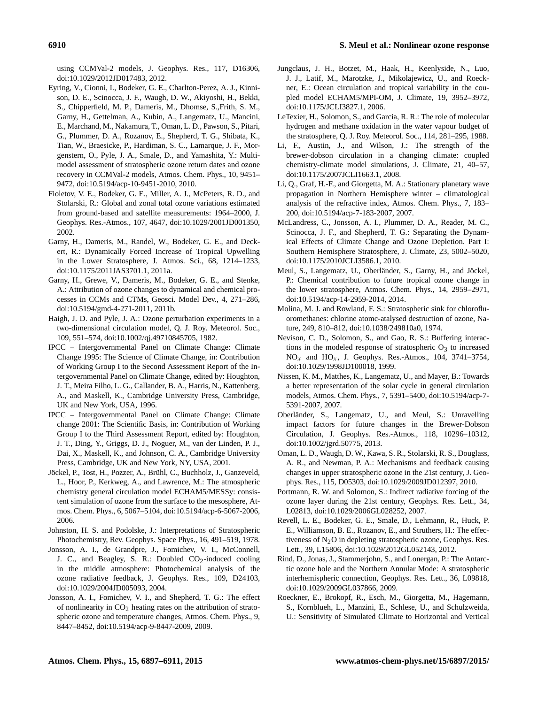using CCMVal-2 models, J. Geophys. Res., 117, D16306, doi[:10.1029/2012JD017483,](http://dx.doi.org/10.1029/2012JD017483) 2012.

- <span id="page-13-18"></span>Eyring, V., Cionni, I., Bodeker, G. E., Charlton-Perez, A. J., Kinnison, D. E., Scinocca, J. F., Waugh, D. W., Akiyoshi, H., Bekki, S., Chipperfield, M. P., Dameris, M., Dhomse, S.,Frith, S. M., Garny, H., Gettelman, A., Kubin, A., Langematz, U., Mancini, E., Marchand, M., Nakamura, T., Oman, L. D., Pawson, S., Pitari, G., Plummer, D. A., Rozanov, E., Shepherd, T. G., Shibata, K., Tian, W., Braesicke, P., Hardiman, S. C., Lamarque, J. F., Morgenstern, O., Pyle, J. A., Smale, D., and Yamashita, Y.: Multimodel assessment of stratospheric ozone return dates and ozone recovery in CCMVal-2 models, Atmos. Chem. Phys., 10, 9451– 9472, doi[:10.5194/acp-10-9451-2010,](http://dx.doi.org/10.5194/acp-10-9451-2010) 2010.
- <span id="page-13-0"></span>Fioletov, V. E., Bodeker, G. E., Miller, A. J., McPeters, R. D., and Stolarski, R.: Global and zonal total ozone variations estimated from ground-based and satellite measurements: 1964–2000, J. Geophys. Res.-Atmos., 107, 4647, doi[:10.1029/2001JD001350,](http://dx.doi.org/10.1029/2001JD001350) 2002.
- <span id="page-13-4"></span>Garny, H., Dameris, M., Randel, W., Bodeker, G. E., and Deckert, R.: Dynamically Forced Increase of Tropical Upwelling in the Lower Stratosphere, J. Atmos. Sci., 68, 1214–1233, doi[:10.1175/2011JAS3701.1,](http://dx.doi.org/10.1175/2011JAS3701.1) 2011a.
- <span id="page-13-21"></span>Garny, H., Grewe, V., Dameris, M., Bodeker, G. E., and Stenke, A.: Attribution of ozone changes to dynamical and chemical processes in CCMs and CTMs, Geosci. Model Dev., 4, 271–286, doi[:10.5194/gmd-4-271-2011,](http://dx.doi.org/10.5194/gmd-4-271-2011) 2011b.
- <span id="page-13-14"></span>Haigh, J. D. and Pyle, J. A.: Ozone perturbation experiments in a two-dimensional circulation model, Q. J. Roy. Meteorol. Soc., 109, 551–574, doi[:10.1002/qj.49710845705,](http://dx.doi.org/10.1002/qj.49710845705) 1982.
- <span id="page-13-2"></span>IPCC – Intergovernmental Panel on Climate Change: Climate Change 1995: The Science of Climate Change, in: Contribution of Working Group I to the Second Assessment Report of the Intergovernmental Panel on Climate Change, edited by: Houghton, J. T., Meira Filho, L. G., Callander, B. A., Harris, N., Kattenberg, A., and Maskell, K., Cambridge University Press, Cambridge, UK and New York, USA, 1996.
- <span id="page-13-19"></span>IPCC – Intergovernmental Panel on Climate Change: Climate change 2001: The Scientific Basis, in: Contribution of Working Group I to the Third Assessment Report, edited by: Houghton, J. T., Ding, Y., Griggs, D. J., Noguer, M., van der Linden, P. J., Dai, X., Maskell, K., and Johnson, C. A., Cambridge University Press, Cambridge, UK and New York, NY, USA, 2001.
- <span id="page-13-15"></span>Jöckel, P., Tost, H., Pozzer, A., Brühl, C., Buchholz, J., Ganzeveld, L., Hoor, P., Kerkweg, A., and Lawrence, M.: The atmospheric chemistry general circulation model ECHAM5/MESSy: consistent simulation of ozone from the surface to the mesosphere, Atmos. Chem. Phys., 6, 5067–5104, doi[:10.5194/acp-6-5067-2006,](http://dx.doi.org/10.5194/acp-6-5067-2006) 2006.
- <span id="page-13-9"></span>Johnston, H. S. and Podolske, J.: Interpretations of Stratospheric Photochemistry, Rev. Geophys. Space Phys., 16, 491–519, 1978.
- <span id="page-13-3"></span>Jonsson, A. I., de Grandpre, J., Fomichev, V. I., McConnell, J. C., and Beagley, S. R.: Doubled  $CO_2$ -induced cooling in the middle atmosphere: Photochemical analysis of the ozone radiative feedback, J. Geophys. Res., 109, D24103, doi[:10.1029/2004JD005093,](http://dx.doi.org/10.1029/2004JD005093) 2004.
- <span id="page-13-13"></span>Jonsson, A. I., Fomichev, V. I., and Shepherd, T. G.: The effect of nonlinearity in  $CO<sub>2</sub>$  heating rates on the attribution of stratospheric ozone and temperature changes, Atmos. Chem. Phys., 9, 8447–8452, doi[:10.5194/acp-9-8447-2009,](http://dx.doi.org/10.5194/acp-9-8447-2009) 2009.
- <span id="page-13-20"></span>Jungclaus, J. H., Botzet, M., Haak, H., Keenlyside, N., Luo, J. J., Latif, M., Marotzke, J., Mikolajewicz, U., and Roeckner, E.: Ocean circulation and tropical variability in the coupled model ECHAM5/MPI-OM, J. Climate, 19, 3952–3972, doi[:10.1175/JCLI3827.1,](http://dx.doi.org/10.1175/JCLI3827.1) 2006.
- <span id="page-13-6"></span>LeTexier, H., Solomon, S., and Garcia, R. R.: The role of molecular hydrogen and methane oxidation in the water vapour budget of the stratosphere, Q. J. Roy. Meteorol. Soc., 114, 281–295, 1988.
- <span id="page-13-23"></span>Li, F., Austin, J., and Wilson, J.: The strength of the brewer-dobson circulation in a changing climate: coupled chemistry-climate model simulations, J. Climate, 21, 40–57, doi[:10.1175/2007JCLI1663.1,](http://dx.doi.org/10.1175/2007JCLI1663.1) 2008.
- <span id="page-13-24"></span>Li, Q., Graf, H.-F., and Giorgetta, M. A.: Stationary planetary wave propagation in Northern Hemisphere winter – climatological analysis of the refractive index, Atmos. Chem. Phys., 7, 183– 200, doi[:10.5194/acp-7-183-2007,](http://dx.doi.org/10.5194/acp-7-183-2007) 2007.
- <span id="page-13-11"></span>McLandress, C., Jonsson, A. I., Plummer, D. A., Reader, M. C., Scinocca, J. F., and Shepherd, T. G.: Separating the Dynamical Effects of Climate Change and Ozone Depletion. Part I: Southern Hemisphere Stratosphere, J. Climate, 23, 5002–5020, doi[:10.1175/2010JCLI3586.1,](http://dx.doi.org/10.1175/2010JCLI3586.1) 2010.
- <span id="page-13-22"></span>Meul, S., Langematz, U., Oberländer, S., Garny, H., and Jöckel, P.: Chemical contribution to future tropical ozone change in the lower stratosphere, Atmos. Chem. Phys., 14, 2959–2971, doi[:10.5194/acp-14-2959-2014,](http://dx.doi.org/10.5194/acp-14-2959-2014) 2014.
- <span id="page-13-1"></span>Molina, M. J. and Rowland, F. S.: Stratospheric sink for chlorofluoromethanes: chlorine atomc-atalysed destruction of ozone, Nature, 249, 810–812, doi[:10.1038/249810a0,](http://dx.doi.org/10.1038/249810a0) 1974.
- <span id="page-13-10"></span>Nevison, C. D., Solomon, S., and Gao, R. S.: Buffering interactions in the modeled response of stratospheric  $O_3$  to increased  $NO<sub>x</sub>$  and  $HO<sub>x</sub>$ , J. Geophys. Res.-Atmos., 104, 3741–3754, doi[:10.1029/1998JD100018,](http://dx.doi.org/10.1029/1998JD100018) 1999.
- <span id="page-13-17"></span>Nissen, K. M., Matthes, K., Langematz, U., and Mayer, B.: Towards a better representation of the solar cycle in general circulation models, Atmos. Chem. Phys., 7, 5391–5400, doi[:10.5194/acp-7-](http://dx.doi.org/10.5194/acp-7-5391-2007) [5391-2007,](http://dx.doi.org/10.5194/acp-7-5391-2007) 2007.
- <span id="page-13-5"></span>Oberländer, S., Langematz, U., and Meul, S.: Unravelling impact factors for future changes in the Brewer-Dobson Circulation, J. Geophys. Res.-Atmos., 118, 10296–10312, doi[:10.1002/jgrd.50775,](http://dx.doi.org/10.1002/jgrd.50775) 2013.
- <span id="page-13-12"></span>Oman, L. D., Waugh, D. W., Kawa, S. R., Stolarski, R. S., Douglass, A. R., and Newman, P. A.: Mechanisms and feedback causing changes in upper stratospheric ozone in the 21st century, J. Geophys. Res., 115, D05303, doi[:10.1029/2009JD012397,](http://dx.doi.org/10.1029/2009JD012397) 2010.
- <span id="page-13-7"></span>Portmann, R. W. and Solomon, S.: Indirect radiative forcing of the ozone layer during the 21st century, Geophys. Res. Lett., 34, L02813, doi[:10.1029/2006GL028252,](http://dx.doi.org/10.1029/2006GL028252) 2007.
- <span id="page-13-8"></span>Revell, L. E., Bodeker, G. E., Smale, D., Lehmann, R., Huck, P. E., Williamson, B. E., Rozanov, E., and Struthers, H.: The effectiveness of  $N<sub>2</sub>O$  in depleting stratospheric ozone, Geophys. Res. Lett., 39, L15806, doi[:10.1029/2012GL052143,](http://dx.doi.org/10.1029/2012GL052143) 2012.
- <span id="page-13-25"></span>Rind, D., Jonas, J., Stammerjohn, S., and Lonergan, P.: The Antarctic ozone hole and the Northern Annular Mode: A stratospheric interhemispheric connection, Geophys. Res. Lett., 36, L09818, doi[:10.1029/2009GL037866,](http://dx.doi.org/10.1029/2009GL037866) 2009.
- <span id="page-13-16"></span>Roeckner, E., Brokopf, R., Esch, M., Giorgetta, M., Hagemann, S., Kornblueh, L., Manzini, E., Schlese, U., and Schulzweida, U.: Sensitivity of Simulated Climate to Horizontal and Vertical